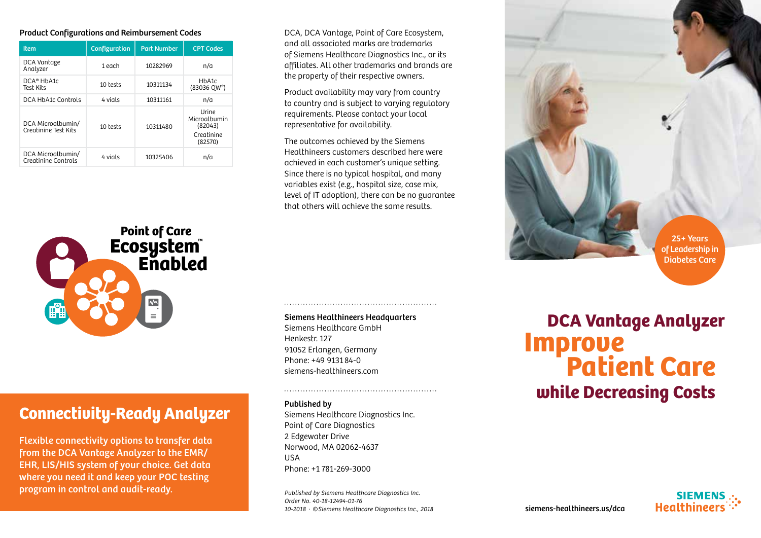#### Product Configurations and Reimbursement Codes

| <b>Item</b>                               | Configuration | <b>Part Number</b> | <b>CPT Codes</b>                                                 |
|-------------------------------------------|---------------|--------------------|------------------------------------------------------------------|
| DCA Vantage<br>Analyzer                   | 1 each        | 10282969           | n/a                                                              |
| DCA® HbA1c<br>Test Kits                   | 10 tests      | 10311134           | H <sub>b</sub> A <sub>1</sub> c<br>$(83036$ QW <sup>*</sup> )    |
| DCA HbA1c Controls                        | 4 vials       | 10311161           | n/a                                                              |
| DCA Microalbumin/<br>Creatinine Test Kits | 10 tests      | 10311480           | <b>Urine</b><br>Microalbumin<br>(82043)<br>Creatinine<br>(82570) |
| DCA Microalbumin/<br>Creatinine Controls  | 4 vials       | 10325406           | n/a                                                              |



# Connectivity-Ready Analyzer

Flexible connectivity options to transfer data from the DCA Vantage Analyzer to the EMR/ EHR, LIS/HIS system of your choice. Get data where you need it and keep your POC testing program in control and audit-ready.

DCA, DCA Vantage, Point of Care Ecosystem, and all associated marks are trademarks of Siemens Healthcare Diagnostics Inc., or its affiliates. All other trademarks and brands are the property of their respective owners.

Product availability may vary from country to country and is subject to varying regulatory requirements. Please contact your local representative for availability.

The outcomes achieved by the Siemens Healthineers customers described here were achieved in each customer's unique setting. Since there is no typical hospital, and many variables exist (e.g., hospital size, case mix, level of IT adoption), there can be no guarantee that others will achieve the same results.

## Siemens Healthineers Headquarters

Siemens Healthcare GmbH Henkestr. 127 91052 Erlangen, Germany Phone: +49 9131 84-0 siemens-healthineers.com

#### Published by

Siemens Healthcare Diagnostics Inc. Point of Care Diagnostics 2 Edgewater Drive Norwood, MA 02062-4637 USA Phone: +1 781-269-3000

Published by Siemens Healthcare Diagnostics Inc. Order No. 40-18-12494-01-76 10-2018 · ©Siemens Healthcare Diagnostics Inc., 2018



Diabetes Care

# while Decreasing Costs DCA Vantage Analyzer **Improve<br>Patient Care**